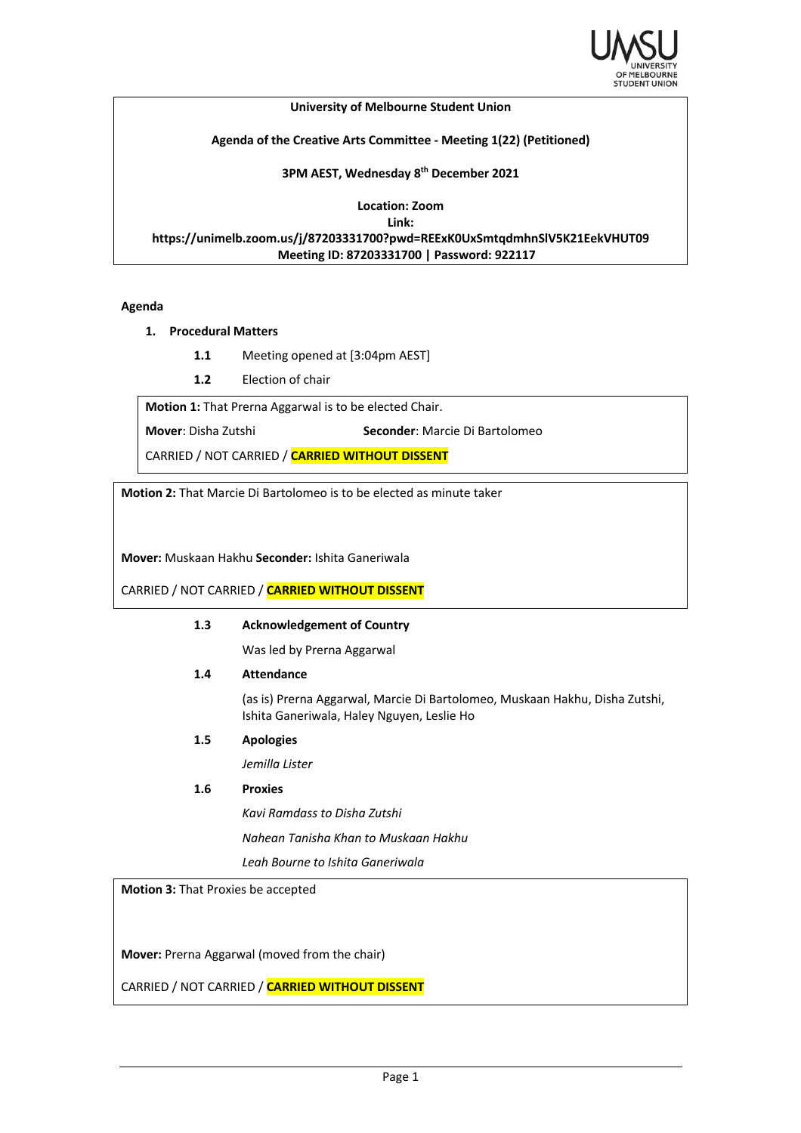

#### **University of Melbourne Student Union**

## **Agenda of the Creative Arts Committee - Meeting 1(22) (Petitioned)**

### **3PM AEST, Wednesday 8th December 2021**

**Location: Zoom**

**Link:**

**https://unimelb.zoom.us/j/87203331700?pwd=REExK0UxSmtqdmhnSlV5K21EekVHUT09 Meeting ID: 87203331700 | Password: 922117**

## **Agenda**

- **1. Procedural Matters**
	- **1.1** Meeting opened at [3:04pm AEST]
	- **1.2** Election of chair

**Motion 1:** That Prerna Aggarwal is to be elected Chair.

**Mover**: Disha Zutshi **Seconder**: Marcie Di Bartolomeo

CARRIED / NOT CARRIED / **CARRIED WITHOUT DISSENT**

**Motion 2:** That Marcie Di Bartolomeo is to be elected as minute taker

**Mover:** Muskaan Hakhu **Seconder:** Ishita Ganeriwala

CARRIED / NOT CARRIED / **CARRIED WITHOUT DISSENT**

# **1.3 Acknowledgement of Country**

Was led by Prerna Aggarwal

**1.4 Attendance**

(as is) Prerna Aggarwal, Marcie Di Bartolomeo, Muskaan Hakhu, Disha Zutshi, Ishita Ganeriwala, Haley Nguyen, Leslie Ho

**1.5 Apologies**

*Jemilla Lister*

# **1.6 Proxies**

*Kavi Ramdass to Disha Zutshi*

*Nahean Tanisha Khan to Muskaan Hakhu*

*Leah Bourne to Ishita Ganeriwala*

**Motion 3:** That Proxies be accepted

**Mover:** Prerna Aggarwal (moved from the chair)

CARRIED / NOT CARRIED / **CARRIED WITHOUT DISSENT**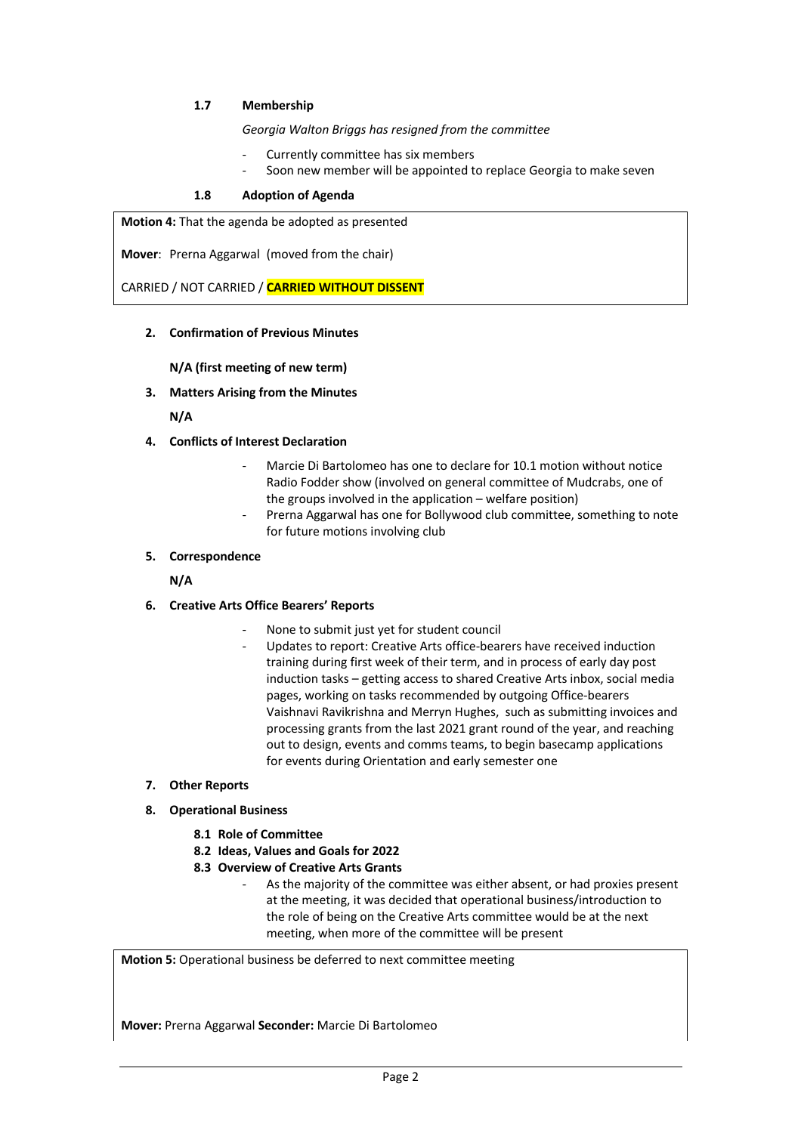# **1.7 Membership**

*Georgia Walton Briggs has resigned from the committee*

- Currently committee has six members
- Soon new member will be appointed to replace Georgia to make seven

## **1.8 Adoption of Agenda**

**Motion 4:** That the agenda be adopted as presented

**Mover**: Prerna Aggarwal (moved from the chair)

CARRIED / NOT CARRIED / **CARRIED WITHOUT DISSENT**

**2. Confirmation of Previous Minutes**

**N/A (first meeting of new term)**

**3. Matters Arising from the Minutes**

**N/A**

- **4. Conflicts of Interest Declaration**
	- Marcie Di Bartolomeo has one to declare for 10.1 motion without notice Radio Fodder show (involved on general committee of Mudcrabs, one of the groups involved in the application – welfare position)
	- Prerna Aggarwal has one for Bollywood club committee, something to note for future motions involving club

### **5. Correspondence**

**N/A**

- **6. Creative Arts Office Bearers' Reports**
	- None to submit just yet for student council
		- Updates to report: Creative Arts office-bearers have received induction training during first week of their term, and in process of early day post induction tasks – getting access to shared Creative Arts inbox, social media pages, working on tasks recommended by outgoing Office-bearers Vaishnavi Ravikrishna and Merryn Hughes, such as submitting invoices and processing grants from the last 2021 grant round of the year, and reaching out to design, events and comms teams, to begin basecamp applications for events during Orientation and early semester one
- **7. Other Reports**
- **8. Operational Business**
	- **8.1 Role of Committee**
	- **8.2 Ideas, Values and Goals for 2022**
	- **8.3 Overview of Creative Arts Grants**
		- As the majority of the committee was either absent, or had proxies present at the meeting, it was decided that operational business/introduction to the role of being on the Creative Arts committee would be at the next meeting, when more of the committee will be present

**Motion 5:** Operational business be deferred to next committee meeting

**Mover:** Prerna Aggarwal **Seconder:** Marcie Di Bartolomeo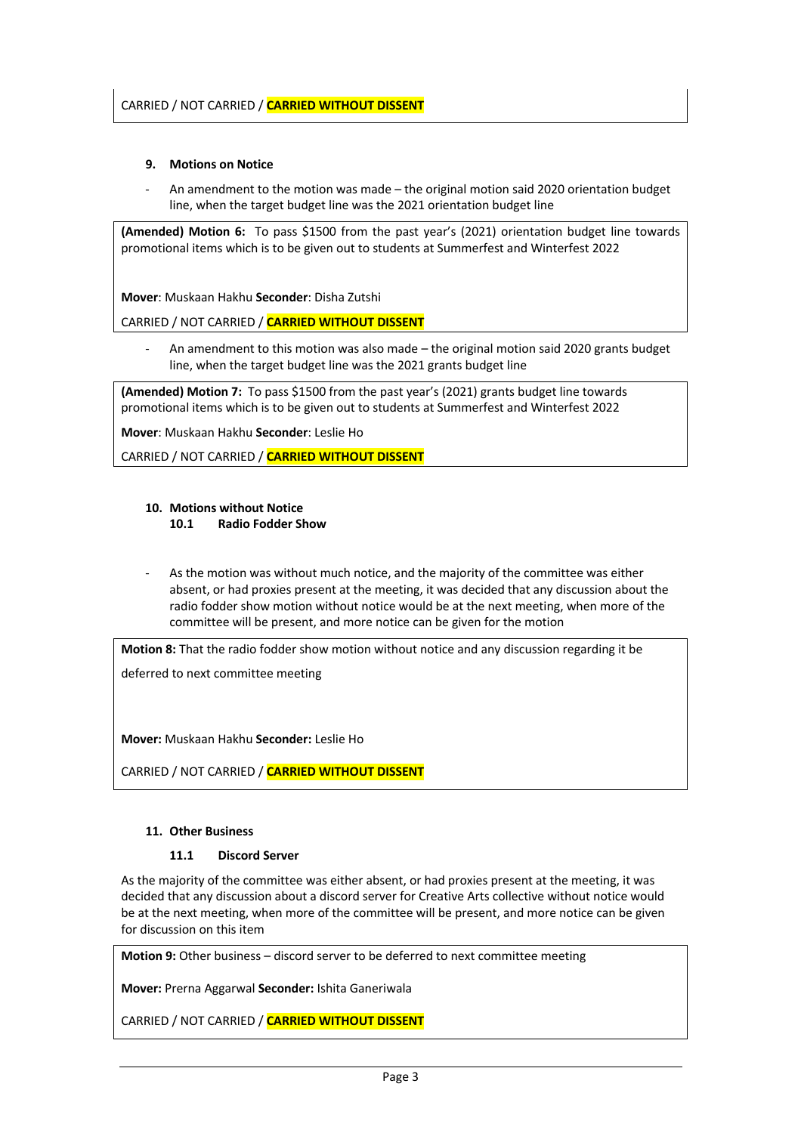# **9. Motions on Notice**

An amendment to the motion was made – the original motion said 2020 orientation budget line, when the target budget line was the 2021 orientation budget line

**(Amended) Motion 6:** To pass \$1500 from the past year's (2021) orientation budget line towards promotional items which is to be given out to students at Summerfest and Winterfest 2022

**Mover**: Muskaan Hakhu **Seconder**: Disha Zutshi

# CARRIED / NOT CARRIED / **CARRIED WITHOUT DISSENT**

An amendment to this motion was also made – the original motion said 2020 grants budget line, when the target budget line was the 2021 grants budget line

**(Amended) Motion 7:** To pass \$1500 from the past year's (2021) grants budget line towards promotional items which is to be given out to students at Summerfest and Winterfest 2022

**Mover**: Muskaan Hakhu **Seconder**: Leslie Ho

CARRIED / NOT CARRIED / **CARRIED WITHOUT DISSENT**

# **10. Motions without Notice**

## **10.1 Radio Fodder Show**

As the motion was without much notice, and the majority of the committee was either absent, or had proxies present at the meeting, it was decided that any discussion about the radio fodder show motion without notice would be at the next meeting, when more of the committee will be present, and more notice can be given for the motion

**Motion 8:** That the radio fodder show motion without notice and any discussion regarding it be

deferred to next committee meeting

**Mover:** Muskaan Hakhu **Seconder:** Leslie Ho

CARRIED / NOT CARRIED / **CARRIED WITHOUT DISSENT**

### **11. Other Business**

# **11.1 Discord Server**

As the majority of the committee was either absent, or had proxies present at the meeting, it was decided that any discussion about a discord server for Creative Arts collective without notice would be at the next meeting, when more of the committee will be present, and more notice can be given for discussion on this item

**Motion 9:** Other business – discord server to be deferred to next committee meeting

**Mover:** Prerna Aggarwal **Seconder:** Ishita Ganeriwala

CARRIED / NOT CARRIED / **CARRIED WITHOUT DISSENT**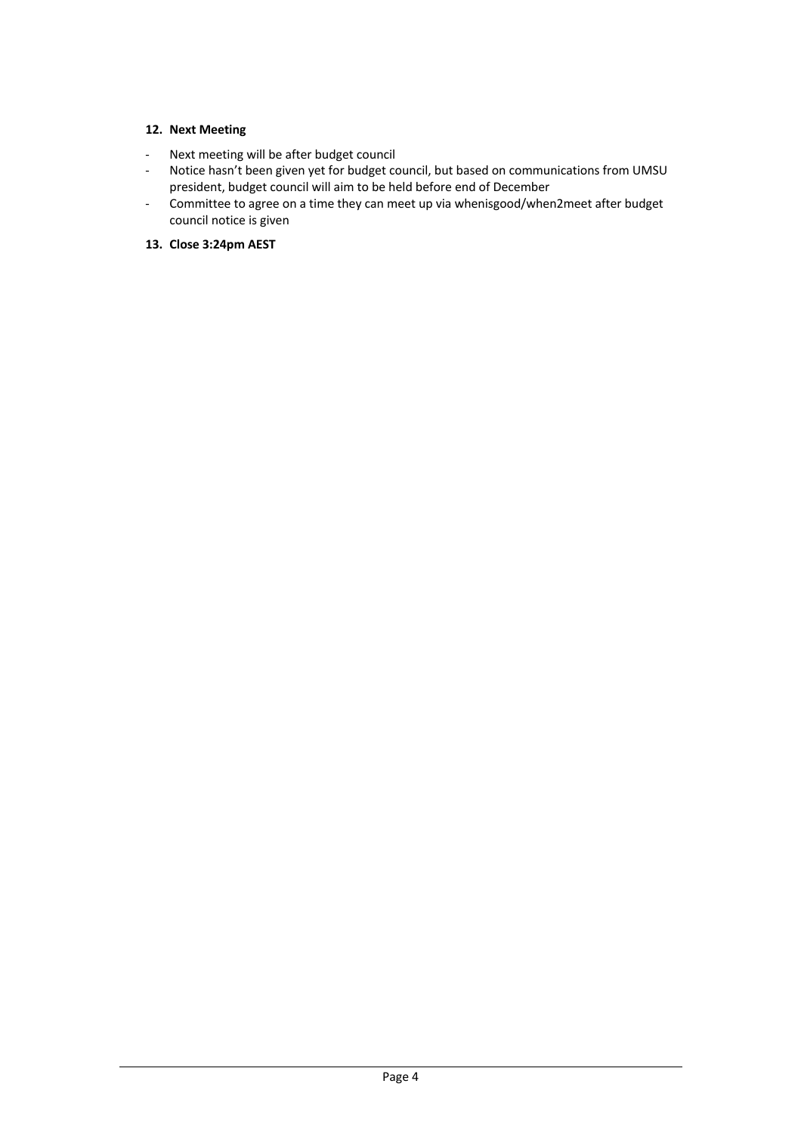# **12. Next Meeting**

- Next meeting will be after budget council
- Notice hasn't been given yet for budget council, but based on communications from UMSU president, budget council will aim to be held before end of December
- Committee to agree on a time they can meet up via whenisgood/when2meet after budget council notice is given

# **13. Close 3:24pm AEST**